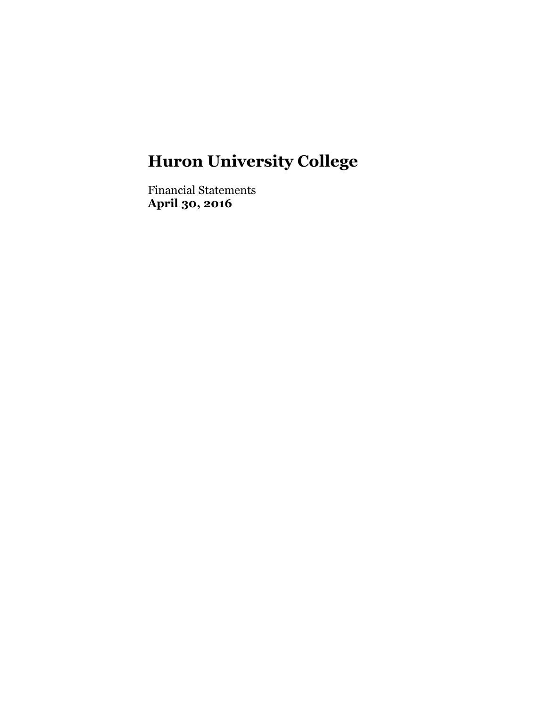Financial Statements **April 30, 2016**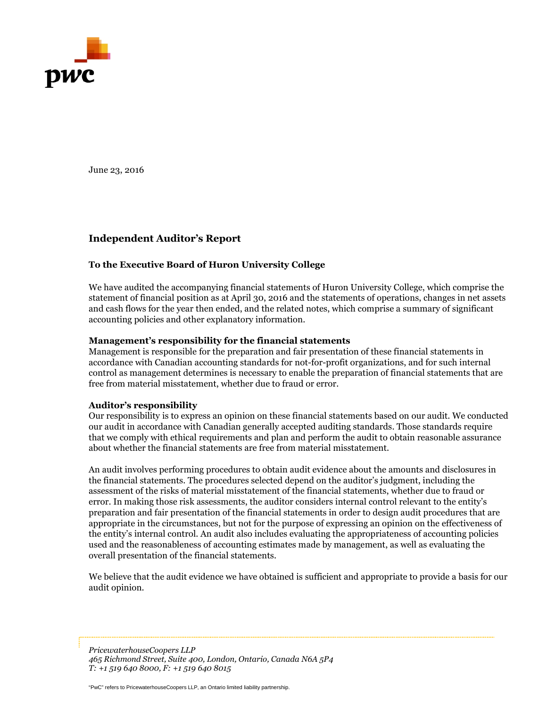

June 23, 2016

## **Independent Auditor's Report**

#### **To the Executive Board of Huron University College**

We have audited the accompanying financial statements of Huron University College, which comprise the statement of financial position as at April 30, 2016 and the statements of operations, changes in net assets and cash flows for the year then ended, and the related notes, which comprise a summary of significant accounting policies and other explanatory information.

#### **Management's responsibility for the financial statements**

Management is responsible for the preparation and fair presentation of these financial statements in accordance with Canadian accounting standards for not-for-profit organizations, and for such internal control as management determines is necessary to enable the preparation of financial statements that are free from material misstatement, whether due to fraud or error.

#### **Auditor's responsibility**

Our responsibility is to express an opinion on these financial statements based on our audit. We conducted our audit in accordance with Canadian generally accepted auditing standards. Those standards require that we comply with ethical requirements and plan and perform the audit to obtain reasonable assurance about whether the financial statements are free from material misstatement.

An audit involves performing procedures to obtain audit evidence about the amounts and disclosures in the financial statements. The procedures selected depend on the auditor's judgment, including the assessment of the risks of material misstatement of the financial statements, whether due to fraud or error. In making those risk assessments, the auditor considers internal control relevant to the entity's preparation and fair presentation of the financial statements in order to design audit procedures that are appropriate in the circumstances, but not for the purpose of expressing an opinion on the effectiveness of the entity's internal control. An audit also includes evaluating the appropriateness of accounting policies used and the reasonableness of accounting estimates made by management, as well as evaluating the overall presentation of the financial statements.

We believe that the audit evidence we have obtained is sufficient and appropriate to provide a basis for our audit opinion.

"PwC" refers to PricewaterhouseCoopers LLP, an Ontario limited liability partnership. *465 Richmond Street, Suite 400, London, Ontario, Canada N6A 5P4 PricewaterhouseCoopers LLP T: +1 519 640 8000, F: +1 519 640 8015*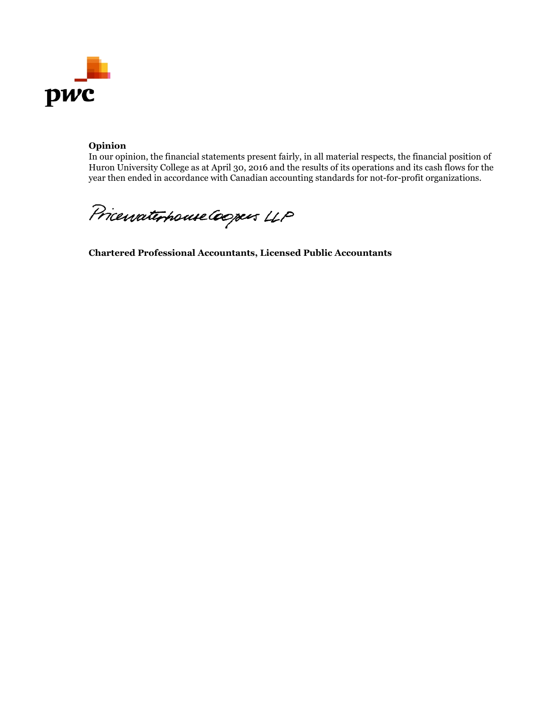

#### **Opinion**

In our opinion, the financial statements present fairly, in all material respects, the financial position of Huron University College as at April 30, 2016 and the results of its operations and its cash flows for the year then ended in accordance with Canadian accounting standards for not-for-profit organizations.

Pricewaterhouse Coopers LLP

**Chartered Professional Accountants, Licensed Public Accountants**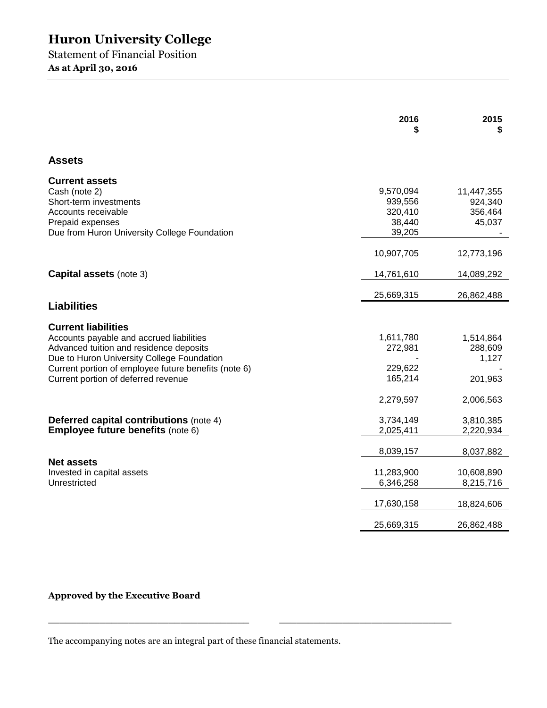Statement of Financial Position **As at April 30, 2016**

|                                                                                                                                                                                                                                                                | 2016                                                | 2015<br>S                                  |
|----------------------------------------------------------------------------------------------------------------------------------------------------------------------------------------------------------------------------------------------------------------|-----------------------------------------------------|--------------------------------------------|
| <b>Assets</b>                                                                                                                                                                                                                                                  |                                                     |                                            |
| <b>Current assets</b><br>Cash (note 2)<br>Short-term investments<br>Accounts receivable<br>Prepaid expenses<br>Due from Huron University College Foundation                                                                                                    | 9,570,094<br>939,556<br>320,410<br>38,440<br>39,205 | 11,447,355<br>924,340<br>356,464<br>45,037 |
|                                                                                                                                                                                                                                                                | 10,907,705                                          | 12,773,196                                 |
| <b>Capital assets (note 3)</b>                                                                                                                                                                                                                                 | 14,761,610                                          | 14,089,292                                 |
| <b>Liabilities</b>                                                                                                                                                                                                                                             | 25,669,315                                          | 26,862,488                                 |
|                                                                                                                                                                                                                                                                |                                                     |                                            |
| <b>Current liabilities</b><br>Accounts payable and accrued liabilities<br>Advanced tuition and residence deposits<br>Due to Huron University College Foundation<br>Current portion of employee future benefits (note 6)<br>Current portion of deferred revenue | 1,611,780<br>272,981<br>229,622<br>165,214          | 1,514,864<br>288,609<br>1,127<br>201,963   |
|                                                                                                                                                                                                                                                                | 2,279,597                                           | 2,006,563                                  |
| <b>Deferred capital contributions (note 4)</b><br><b>Employee future benefits (note 6)</b>                                                                                                                                                                     | 3,734,149<br>2,025,411                              | 3,810,385<br>2,220,934                     |
|                                                                                                                                                                                                                                                                | 8,039,157                                           | 8,037,882                                  |
| <b>Net assets</b><br>Invested in capital assets<br>Unrestricted                                                                                                                                                                                                | 11,283,900<br>6,346,258                             | 10,608,890<br>8,215,716                    |
|                                                                                                                                                                                                                                                                | 17,630,158                                          | 18,824,606                                 |
|                                                                                                                                                                                                                                                                | 25,669,315                                          | 26,862,488                                 |

**Approved by the Executive Board**

The accompanying notes are an integral part of these financial statements.

 $\frac{1}{2}$  ,  $\frac{1}{2}$  ,  $\frac{1}{2}$  ,  $\frac{1}{2}$  ,  $\frac{1}{2}$  ,  $\frac{1}{2}$  ,  $\frac{1}{2}$  ,  $\frac{1}{2}$  ,  $\frac{1}{2}$  ,  $\frac{1}{2}$  ,  $\frac{1}{2}$  ,  $\frac{1}{2}$  ,  $\frac{1}{2}$  ,  $\frac{1}{2}$  ,  $\frac{1}{2}$  ,  $\frac{1}{2}$  ,  $\frac{1}{2}$  ,  $\frac{1}{2}$  ,  $\frac{1$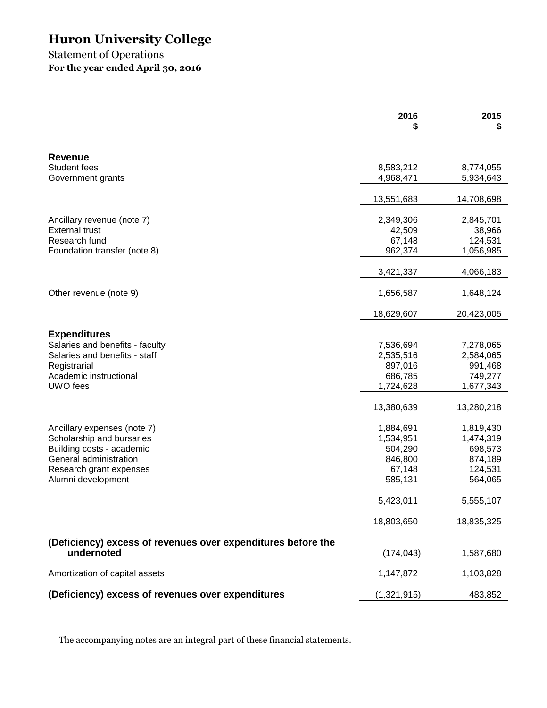## Statement of Operations **For the year ended April 30, 2016**

|                                                              | 2016<br>5   | 2015<br>S  |
|--------------------------------------------------------------|-------------|------------|
| <b>Revenue</b>                                               |             |            |
| Student fees                                                 | 8,583,212   | 8,774,055  |
| Government grants                                            | 4,968,471   | 5,934,643  |
|                                                              | 13,551,683  | 14,708,698 |
| Ancillary revenue (note 7)                                   | 2,349,306   | 2,845,701  |
| <b>External trust</b>                                        | 42,509      | 38,966     |
| Research fund                                                | 67,148      | 124,531    |
| Foundation transfer (note 8)                                 | 962,374     | 1,056,985  |
|                                                              | 3,421,337   | 4,066,183  |
| Other revenue (note 9)                                       | 1,656,587   | 1,648,124  |
|                                                              | 18,629,607  | 20,423,005 |
| <b>Expenditures</b>                                          |             |            |
| Salaries and benefits - faculty                              | 7,536,694   | 7,278,065  |
| Salaries and benefits - staff                                | 2,535,516   | 2,584,065  |
| Registrarial                                                 | 897,016     | 991,468    |
| Academic instructional                                       | 686,785     | 749,277    |
| UWO fees                                                     | 1,724,628   | 1,677,343  |
|                                                              | 13,380,639  | 13,280,218 |
| Ancillary expenses (note 7)                                  | 1,884,691   | 1,819,430  |
| Scholarship and bursaries                                    | 1,534,951   | 1,474,319  |
| Building costs - academic                                    | 504,290     | 698,573    |
| General administration                                       | 846,800     | 874,189    |
| Research grant expenses                                      | 67,148      | 124,531    |
| Alumni development                                           | 585,131     | 564,065    |
|                                                              | 5,423,011   | 5,555,107  |
|                                                              | 18,803,650  | 18,835,325 |
| (Deficiency) excess of revenues over expenditures before the |             |            |
| undernoted                                                   | (174, 043)  | 1,587,680  |
| Amortization of capital assets                               | 1,147,872   | 1,103,828  |
| (Deficiency) excess of revenues over expenditures            | (1,321,915) | 483,852    |

The accompanying notes are an integral part of these financial statements.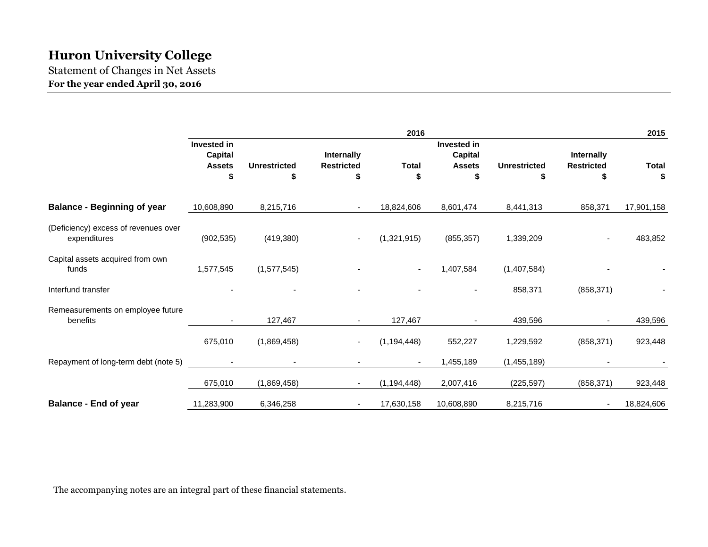Statement of Changes in Net Assets **For the year ended April 30, 2016**

|                                                      |                                                             |                           |                                       | 2016                     |                                                             |                           |                                 | 2015               |
|------------------------------------------------------|-------------------------------------------------------------|---------------------------|---------------------------------------|--------------------------|-------------------------------------------------------------|---------------------------|---------------------------------|--------------------|
|                                                      | <b>Invested in</b><br><b>Capital</b><br><b>Assets</b><br>\$ | <b>Unrestricted</b><br>\$ | Internally<br><b>Restricted</b><br>\$ | <b>Total</b><br>\$       | <b>Invested in</b><br><b>Capital</b><br><b>Assets</b><br>\$ | <b>Unrestricted</b><br>\$ | Internally<br><b>Restricted</b> | <b>Total</b><br>\$ |
| <b>Balance - Beginning of year</b>                   | 10,608,890                                                  | 8,215,716                 |                                       | 18,824,606               | 8,601,474                                                   | 8,441,313                 | 858,371                         | 17,901,158         |
| (Deficiency) excess of revenues over<br>expenditures | (902, 535)                                                  | (419, 380)                | $\overline{\phantom{a}}$              | (1,321,915)              | (855, 357)                                                  | 1,339,209                 |                                 | 483,852            |
| Capital assets acquired from own<br>funds            | 1,577,545                                                   | (1,577,545)               |                                       | $\overline{\phantom{a}}$ | 1,407,584                                                   | (1,407,584)               |                                 |                    |
| Interfund transfer                                   |                                                             |                           |                                       |                          |                                                             | 858,371                   | (858, 371)                      |                    |
| Remeasurements on employee future<br>benefits        | $\sim$                                                      | 127,467                   | $\sim$                                | 127,467                  | $\sim$                                                      | 439,596                   | $\overline{\phantom{a}}$        | 439,596            |
|                                                      | 675,010                                                     | (1,869,458)               |                                       | (1, 194, 448)            | 552,227                                                     | 1,229,592                 | (858, 371)                      | 923,448            |
| Repayment of long-term debt (note 5)                 |                                                             |                           |                                       | $\overline{\phantom{a}}$ | 1,455,189                                                   | (1,455,189)               |                                 |                    |
|                                                      | 675,010                                                     | (1,869,458)               | $\blacksquare$                        | (1, 194, 448)            | 2,007,416                                                   | (225, 597)                | (858, 371)                      | 923,448            |
| <b>Balance - End of year</b>                         | 11,283,900                                                  | 6,346,258                 |                                       | 17,630,158               | 10,608,890                                                  | 8,215,716                 | $\overline{\phantom{a}}$        | 18,824,606         |

The accompanying notes are an integral part of these financial statements.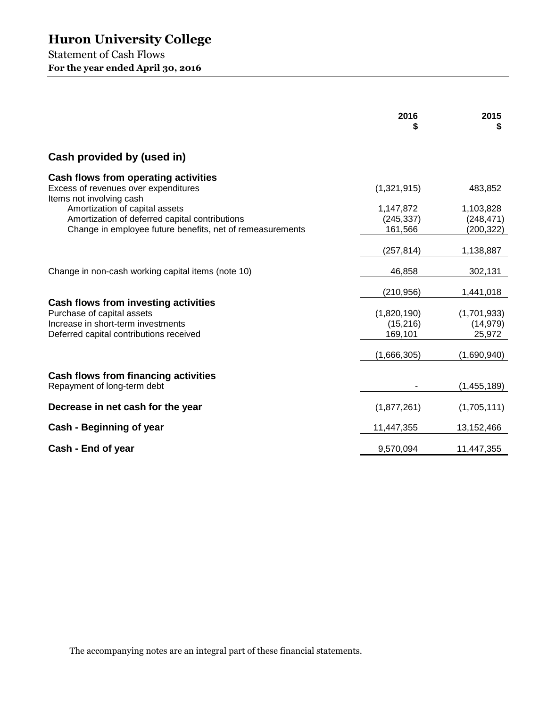Statement of Cash Flows **For the year ended April 30, 2016**

|                                                                                                                                                     | 2016                                              | 2015<br>\$                                      |
|-----------------------------------------------------------------------------------------------------------------------------------------------------|---------------------------------------------------|-------------------------------------------------|
| Cash provided by (used in)                                                                                                                          |                                                   |                                                 |
| Cash flows from operating activities<br>Excess of revenues over expenditures<br>Items not involving cash                                            | (1,321,915)                                       | 483,852                                         |
| Amortization of capital assets<br>Amortization of deferred capital contributions<br>Change in employee future benefits, net of remeasurements       | 1,147,872<br>(245, 337)<br>161,566                | 1,103,828<br>(248, 471)<br>(200, 322)           |
|                                                                                                                                                     | (257, 814)                                        | 1,138,887                                       |
| Change in non-cash working capital items (note 10)                                                                                                  | 46,858                                            | 302,131                                         |
| Cash flows from investing activities<br>Purchase of capital assets<br>Increase in short-term investments<br>Deferred capital contributions received | (210, 956)<br>(1,820,190)<br>(15, 216)<br>169,101 | 1,441,018<br>(1,701,933)<br>(14, 979)<br>25,972 |
|                                                                                                                                                     | (1,666,305)                                       | (1,690,940)                                     |
| Cash flows from financing activities<br>Repayment of long-term debt                                                                                 |                                                   | (1,455,189)                                     |
| Decrease in net cash for the year                                                                                                                   | (1,877,261)                                       | (1,705,111)                                     |
| Cash - Beginning of year                                                                                                                            | 11,447,355                                        | 13,152,466                                      |
| Cash - End of year                                                                                                                                  | 9,570,094                                         | 11,447,355                                      |

The accompanying notes are an integral part of these financial statements.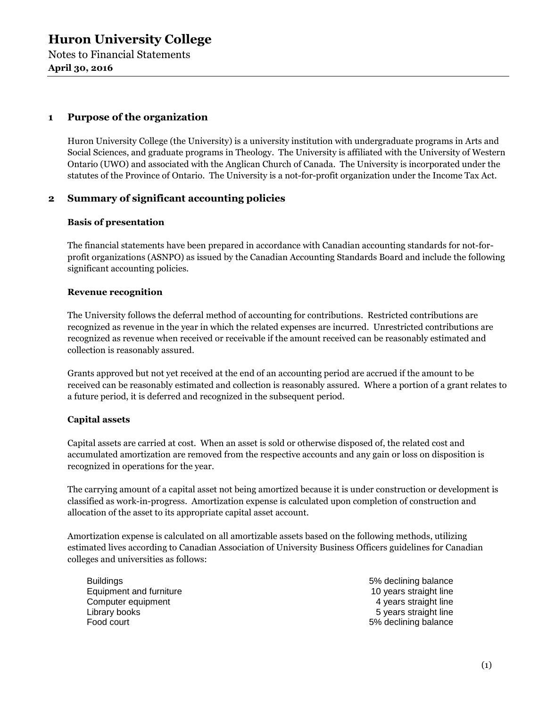Notes to Financial Statements **April 30, 2016**

## **1 Purpose of the organization**

Huron University College (the University) is a university institution with undergraduate programs in Arts and Social Sciences, and graduate programs in Theology. The University is affiliated with the University of Western Ontario (UWO) and associated with the Anglican Church of Canada. The University is incorporated under the statutes of the Province of Ontario. The University is a not-for-profit organization under the Income Tax Act.

## **2 Summary of significant accounting policies**

#### **Basis of presentation**

The financial statements have been prepared in accordance with Canadian accounting standards for not-forprofit organizations (ASNPO) as issued by the Canadian Accounting Standards Board and include the following significant accounting policies.

#### **Revenue recognition**

The University follows the deferral method of accounting for contributions. Restricted contributions are recognized as revenue in the year in which the related expenses are incurred. Unrestricted contributions are recognized as revenue when received or receivable if the amount received can be reasonably estimated and collection is reasonably assured.

Grants approved but not yet received at the end of an accounting period are accrued if the amount to be received can be reasonably estimated and collection is reasonably assured. Where a portion of a grant relates to a future period, it is deferred and recognized in the subsequent period.

## **Capital assets**

Capital assets are carried at cost. When an asset is sold or otherwise disposed of, the related cost and accumulated amortization are removed from the respective accounts and any gain or loss on disposition is recognized in operations for the year.

The carrying amount of a capital asset not being amortized because it is under construction or development is classified as work-in-progress. Amortization expense is calculated upon completion of construction and allocation of the asset to its appropriate capital asset account.

Amortization expense is calculated on all amortizable assets based on the following methods, utilizing estimated lives according to Canadian Association of University Business Officers guidelines for Canadian colleges and universities as follows:

Buildings **5% declining balance** Equipment and furniture 10 years straight line Computer equipment **6** and the computer equipment  $\alpha$  years straight line Library books 5 years straight line Food court **Food court** 6% declining balance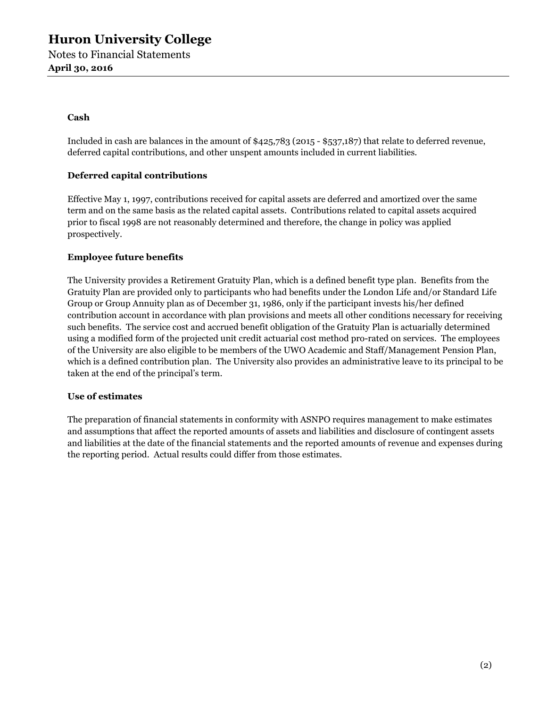#### **Cash**

Included in cash are balances in the amount of \$425,783 (2015 - \$537,187) that relate to deferred revenue, deferred capital contributions, and other unspent amounts included in current liabilities.

#### **Deferred capital contributions**

Effective May 1, 1997, contributions received for capital assets are deferred and amortized over the same term and on the same basis as the related capital assets. Contributions related to capital assets acquired prior to fiscal 1998 are not reasonably determined and therefore, the change in policy was applied prospectively.

#### **Employee future benefits**

The University provides a Retirement Gratuity Plan, which is a defined benefit type plan. Benefits from the Gratuity Plan are provided only to participants who had benefits under the London Life and/or Standard Life Group or Group Annuity plan as of December 31, 1986, only if the participant invests his/her defined contribution account in accordance with plan provisions and meets all other conditions necessary for receiving such benefits. The service cost and accrued benefit obligation of the Gratuity Plan is actuarially determined using a modified form of the projected unit credit actuarial cost method pro-rated on services. The employees of the University are also eligible to be members of the UWO Academic and Staff/Management Pension Plan, which is a defined contribution plan. The University also provides an administrative leave to its principal to be taken at the end of the principal's term.

#### **Use of estimates**

The preparation of financial statements in conformity with ASNPO requires management to make estimates and assumptions that affect the reported amounts of assets and liabilities and disclosure of contingent assets and liabilities at the date of the financial statements and the reported amounts of revenue and expenses during the reporting period. Actual results could differ from those estimates.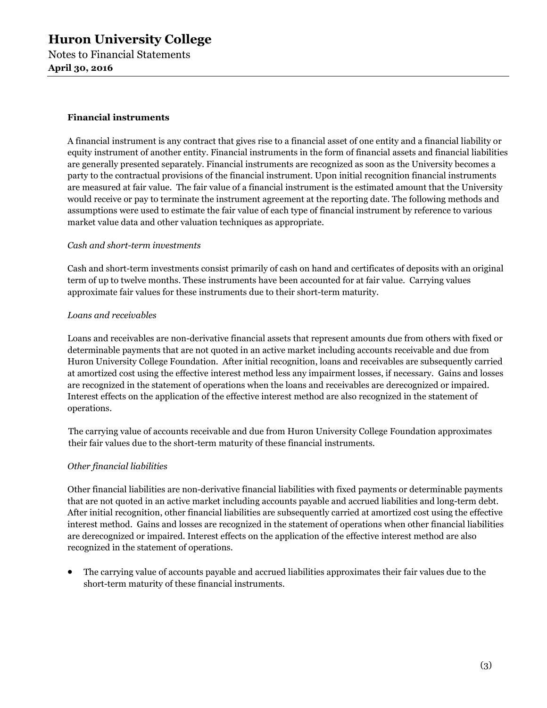#### **Financial instruments**

A financial instrument is any contract that gives rise to a financial asset of one entity and a financial liability or equity instrument of another entity. Financial instruments in the form of financial assets and financial liabilities are generally presented separately. Financial instruments are recognized as soon as the University becomes a party to the contractual provisions of the financial instrument. Upon initial recognition financial instruments are measured at fair value. The fair value of a financial instrument is the estimated amount that the University would receive or pay to terminate the instrument agreement at the reporting date. The following methods and assumptions were used to estimate the fair value of each type of financial instrument by reference to various market value data and other valuation techniques as appropriate.

#### *Cash and short-term investments*

Cash and short-term investments consist primarily of cash on hand and certificates of deposits with an original term of up to twelve months. These instruments have been accounted for at fair value. Carrying values approximate fair values for these instruments due to their short-term maturity.

#### *Loans and receivables*

Loans and receivables are non-derivative financial assets that represent amounts due from others with fixed or determinable payments that are not quoted in an active market including accounts receivable and due from Huron University College Foundation. After initial recognition, loans and receivables are subsequently carried at amortized cost using the effective interest method less any impairment losses, if necessary. Gains and losses are recognized in the statement of operations when the loans and receivables are derecognized or impaired. Interest effects on the application of the effective interest method are also recognized in the statement of operations.

The carrying value of accounts receivable and due from Huron University College Foundation approximates their fair values due to the short-term maturity of these financial instruments.

## *Other financial liabilities*

Other financial liabilities are non-derivative financial liabilities with fixed payments or determinable payments that are not quoted in an active market including accounts payable and accrued liabilities and long-term debt. After initial recognition, other financial liabilities are subsequently carried at amortized cost using the effective interest method. Gains and losses are recognized in the statement of operations when other financial liabilities are derecognized or impaired. Interest effects on the application of the effective interest method are also recognized in the statement of operations.

• The carrying value of accounts payable and accrued liabilities approximates their fair values due to the short-term maturity of these financial instruments.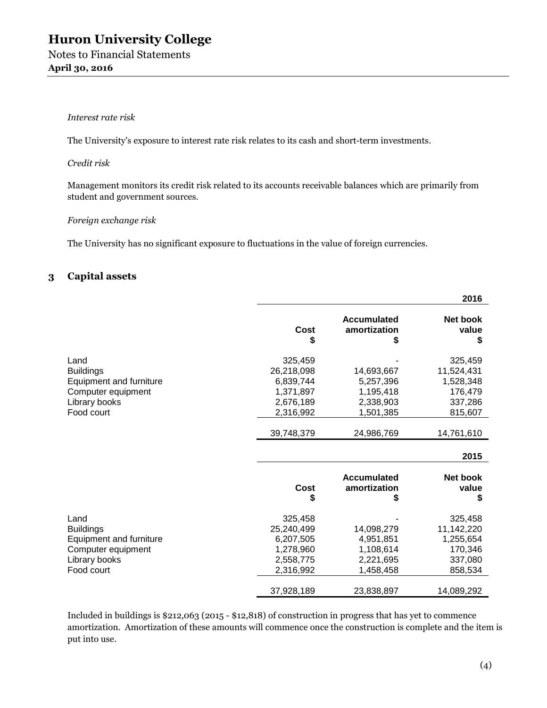#### *Interest rate risk*

The University's exposure to interest rate risk relates to its cash and short-term investments.

#### *Credit risk*

Management monitors its credit risk related to its accounts receivable balances which are primarily from student and government sources.

#### *Foreign exchange risk*

The University has no significant exposure to fluctuations in the value of foreign currencies.

## **3 Capital assets**

|                         |            |                                         | 2016                           |
|-------------------------|------------|-----------------------------------------|--------------------------------|
|                         | Cost<br>\$ | <b>Accumulated</b><br>amortization<br>S | <b>Net book</b><br>value<br>\$ |
| Land                    | 325,459    |                                         | 325,459                        |
| <b>Buildings</b>        | 26,218,098 | 14,693,667                              | 11,524,431                     |
| Equipment and furniture | 6,839,744  | 5,257,396                               | 1,528,348                      |
| Computer equipment      | 1,371,897  | 1,195,418                               | 176,479                        |
| Library books           | 2,676,189  | 2,338,903                               | 337,286                        |
| Food court              | 2,316,992  | 1,501,385                               | 815,607                        |
|                         | 39,748,379 | 24,986,769                              | 14,761,610                     |
|                         |            |                                         | 2015                           |
|                         | Cost<br>S  | <b>Accumulated</b><br>amortization<br>S | <b>Net book</b><br>value<br>S  |
| Land                    | 325,458    |                                         | 325,458                        |
| <b>Buildings</b>        | 25,240,499 | 14,098,279                              | 11,142,220                     |
| Equipment and furniture | 6,207,505  | 4,951,851                               | 1,255,654                      |
| Computer equipment      | 1,278,960  | 1,108,614                               | 170,346                        |
| Library books           | 2,558,775  | 2,221,695                               | 337,080                        |
| Food court              | 2,316,992  | 1,458,458                               | 858,534                        |
|                         | 37,928,189 | 23,838,897                              | 14,089,292                     |

Included in buildings is \$212,063 (2015 - \$12,818) of construction in progress that has yet to commence amortization. Amortization of these amounts will commence once the construction is complete and the item is put into use.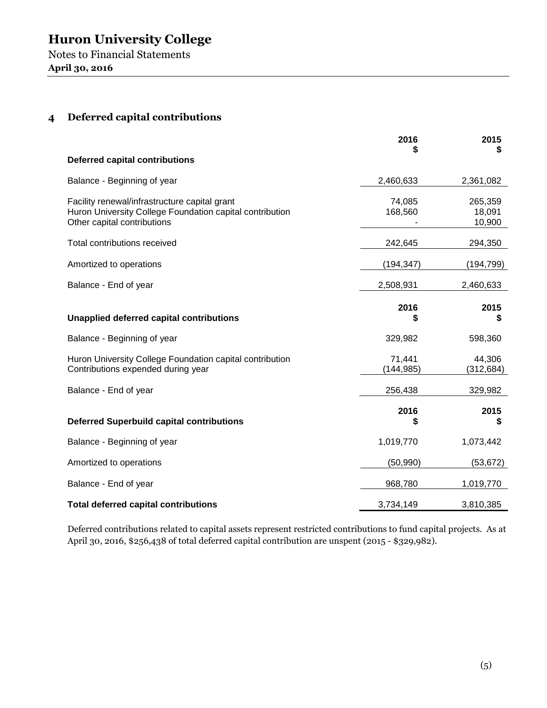## **4 Deferred capital contributions**

|                                                                                                                                          | 2016                 | 2015<br>\$                  |
|------------------------------------------------------------------------------------------------------------------------------------------|----------------------|-----------------------------|
| <b>Deferred capital contributions</b>                                                                                                    |                      |                             |
| Balance - Beginning of year                                                                                                              | 2,460,633            | 2,361,082                   |
| Facility renewal/infrastructure capital grant<br>Huron University College Foundation capital contribution<br>Other capital contributions | 74,085<br>168,560    | 265,359<br>18,091<br>10,900 |
| Total contributions received                                                                                                             | 242,645              | 294,350                     |
| Amortized to operations                                                                                                                  | (194, 347)           | (194,799)                   |
| Balance - End of year                                                                                                                    | 2,508,931            | 2,460,633                   |
| <b>Unapplied deferred capital contributions</b>                                                                                          | 2016<br>S            | 2015<br>S                   |
| Balance - Beginning of year                                                                                                              | 329,982              | 598,360                     |
| Huron University College Foundation capital contribution<br>Contributions expended during year                                           | 71,441<br>(144, 985) | 44,306<br>(312, 684)        |
| Balance - End of year                                                                                                                    | 256,438              | 329,982                     |
| <b>Deferred Superbuild capital contributions</b>                                                                                         | 2016<br>\$           | 2015<br>\$                  |
| Balance - Beginning of year                                                                                                              | 1,019,770            | 1,073,442                   |
| Amortized to operations                                                                                                                  | (50, 990)            | (53, 672)                   |
| Balance - End of year                                                                                                                    | 968,780              | 1,019,770                   |
| <b>Total deferred capital contributions</b>                                                                                              | 3,734,149            | 3,810,385                   |

Deferred contributions related to capital assets represent restricted contributions to fund capital projects. As at April 30, 2016, \$256,438 of total deferred capital contribution are unspent (2015 - \$329,982).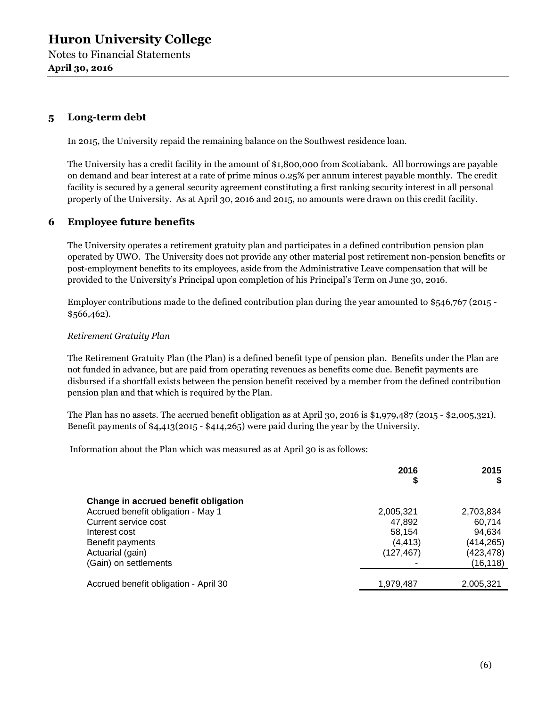**April 30, 2016**

## **5 Long-term debt**

In 2015, the University repaid the remaining balance on the Southwest residence loan.

The University has a credit facility in the amount of \$1,800,000 from Scotiabank. All borrowings are payable on demand and bear interest at a rate of prime minus 0.25% per annum interest payable monthly. The credit facility is secured by a general security agreement constituting a first ranking security interest in all personal property of the University. As at April 30, 2016 and 2015, no amounts were drawn on this credit facility.

## **6 Employee future benefits**

The University operates a retirement gratuity plan and participates in a defined contribution pension plan operated by UWO. The University does not provide any other material post retirement non-pension benefits or post-employment benefits to its employees, aside from the Administrative Leave compensation that will be provided to the University's Principal upon completion of his Principal's Term on June 30, 2016.

Employer contributions made to the defined contribution plan during the year amounted to \$546,767 (2015 - \$566,462).

#### *Retirement Gratuity Plan*

The Retirement Gratuity Plan (the Plan) is a defined benefit type of pension plan. Benefits under the Plan are not funded in advance, but are paid from operating revenues as benefits come due. Benefit payments are disbursed if a shortfall exists between the pension benefit received by a member from the defined contribution pension plan and that which is required by the Plan.

The Plan has no assets. The accrued benefit obligation as at April 30, 2016 is \$1,979,487 (2015 - \$2,005,321). Benefit payments of \$4,413(2015 - \$414,265) were paid during the year by the University.

Information about the Plan which was measured as at April 30 is as follows:

|                                       | 2016<br>\$ | 2015      |
|---------------------------------------|------------|-----------|
| Change in accrued benefit obligation  |            |           |
| Accrued benefit obligation - May 1    | 2,005,321  | 2,703,834 |
| Current service cost                  | 47,892     | 60.714    |
| Interest cost                         | 58,154     | 94.634    |
| Benefit payments                      | (4, 413)   | (414,265) |
| Actuarial (gain)                      | (127, 467) | (423,478) |
| (Gain) on settlements                 |            | (16,118)  |
|                                       |            |           |
| Accrued benefit obligation - April 30 | 1,979,487  | 2,005,321 |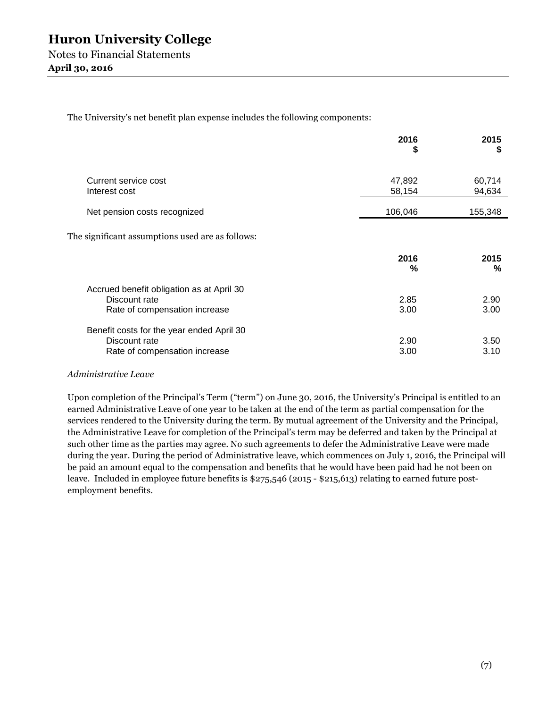The University's net benefit plan expense includes the following components:

|                                                                                             | 2016<br>\$       | 2015<br>S        |
|---------------------------------------------------------------------------------------------|------------------|------------------|
| Current service cost<br>Interest cost                                                       | 47,892<br>58,154 | 60,714<br>94,634 |
| Net pension costs recognized                                                                | 106,046          | 155,348          |
| The significant assumptions used are as follows:                                            |                  |                  |
|                                                                                             | 2016<br>%        | 2015<br>%        |
| Accrued benefit obligation as at April 30<br>Discount rate<br>Rate of compensation increase | 2.85<br>3.00     | 2.90<br>3.00     |
| Benefit costs for the year ended April 30<br>Discount rate<br>Rate of compensation increase | 2.90<br>3.00     | 3.50<br>3.10     |

#### *Administrative Leave*

Upon completion of the Principal's Term ("term") on June 30, 2016, the University's Principal is entitled to an earned Administrative Leave of one year to be taken at the end of the term as partial compensation for the services rendered to the University during the term. By mutual agreement of the University and the Principal, the Administrative Leave for completion of the Principal's term may be deferred and taken by the Principal at such other time as the parties may agree. No such agreements to defer the Administrative Leave were made during the year. During the period of Administrative leave, which commences on July 1, 2016, the Principal will be paid an amount equal to the compensation and benefits that he would have been paid had he not been on leave. Included in employee future benefits is \$275,546 (2015 - \$215,613) relating to earned future postemployment benefits.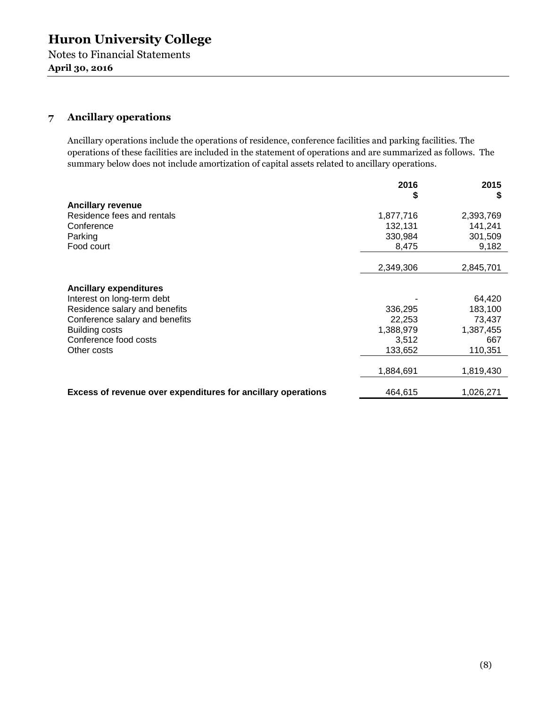## **7 Ancillary operations**

Ancillary operations include the operations of residence, conference facilities and parking facilities. The operations of these facilities are included in the statement of operations and are summarized as follows. The summary below does not include amortization of capital assets related to ancillary operations.

|                                                              | 2016<br>\$ | 2015<br>S |
|--------------------------------------------------------------|------------|-----------|
| <b>Ancillary revenue</b>                                     |            |           |
| Residence fees and rentals                                   | 1,877,716  | 2,393,769 |
| Conference                                                   | 132,131    | 141,241   |
| Parking                                                      | 330,984    | 301,509   |
| Food court                                                   | 8,475      | 9,182     |
|                                                              |            |           |
|                                                              | 2,349,306  | 2,845,701 |
|                                                              |            |           |
| <b>Ancillary expenditures</b>                                |            |           |
| Interest on long-term debt                                   |            | 64,420    |
| Residence salary and benefits                                | 336,295    | 183,100   |
| Conference salary and benefits                               | 22.253     | 73.437    |
| <b>Building costs</b>                                        | 1,388,979  | 1,387,455 |
| Conference food costs                                        | 3,512      | 667       |
| Other costs                                                  | 133,652    | 110,351   |
|                                                              |            |           |
|                                                              | 1,884,691  | 1,819,430 |
| Excess of revenue over expenditures for ancillary operations | 464,615    | 1,026,271 |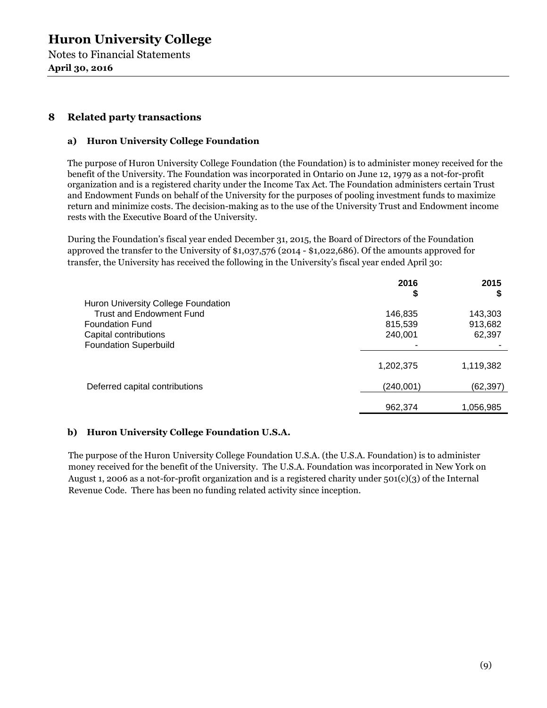Notes to Financial Statements **April 30, 2016**

## **8 Related party transactions**

#### **a) Huron University College Foundation**

The purpose of Huron University College Foundation (the Foundation) is to administer money received for the benefit of the University. The Foundation was incorporated in Ontario on June 12, 1979 as a not-for-profit organization and is a registered charity under the Income Tax Act. The Foundation administers certain Trust and Endowment Funds on behalf of the University for the purposes of pooling investment funds to maximize return and minimize costs. The decision-making as to the use of the University Trust and Endowment income rests with the Executive Board of the University.

During the Foundation's fiscal year ended December 31, 2015, the Board of Directors of the Foundation approved the transfer to the University of \$1,037,576 (2014 - \$1,022,686). Of the amounts approved for transfer, the University has received the following in the University's fiscal year ended April 30:

|                                     | 2016<br>\$ | 2015<br>э |
|-------------------------------------|------------|-----------|
| Huron University College Foundation |            |           |
| <b>Trust and Endowment Fund</b>     | 146,835    | 143,303   |
| <b>Foundation Fund</b>              | 815,539    | 913,682   |
| Capital contributions               | 240,001    | 62,397    |
| <b>Foundation Superbuild</b>        |            |           |
|                                     | 1,202,375  | 1,119,382 |
| Deferred capital contributions      | (240,001)  | (62,397)  |
|                                     | 962,374    | 1,056,985 |

#### **b) Huron University College Foundation U.S.A.**

The purpose of the Huron University College Foundation U.S.A. (the U.S.A. Foundation) is to administer money received for the benefit of the University. The U.S.A. Foundation was incorporated in New York on August 1, 2006 as a not-for-profit organization and is a registered charity under 501(c)(3) of the Internal Revenue Code. There has been no funding related activity since inception.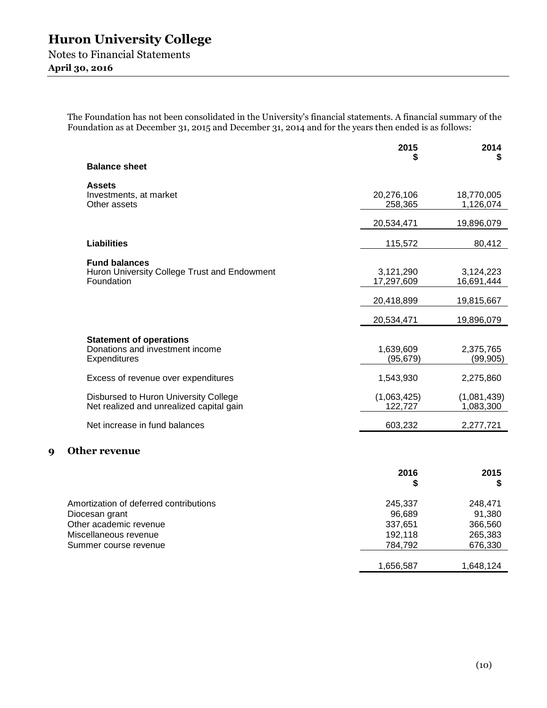**April 30, 2016**

The Foundation has not been consolidated in the University's financial statements. A financial summary of the Foundation as at December 31, 2015 and December 31, 2014 and for the years then ended is as follows:

|                                                                                    | 2015                    | 2014<br>S                |
|------------------------------------------------------------------------------------|-------------------------|--------------------------|
| <b>Balance sheet</b>                                                               |                         |                          |
| <b>Assets</b><br>Investments, at market<br>Other assets                            | 20,276,106<br>258,365   | 18,770,005<br>1,126,074  |
|                                                                                    | 20,534,471              | 19,896,079               |
| <b>Liabilities</b>                                                                 | 115,572                 | 80,412                   |
| <b>Fund balances</b><br>Huron University College Trust and Endowment<br>Foundation | 3,121,290<br>17,297,609 | 3,124,223<br>16,691,444  |
|                                                                                    | 20,418,899              | 19,815,667               |
|                                                                                    | 20,534,471              | 19,896,079               |
| <b>Statement of operations</b><br>Donations and investment income<br>Expenditures  | 1,639,609<br>(95, 679)  | 2,375,765<br>(99, 905)   |
| Excess of revenue over expenditures                                                | 1,543,930               | 2,275,860                |
| Disbursed to Huron University College<br>Net realized and unrealized capital gain  | (1,063,425)<br>122,727  | (1,081,439)<br>1,083,300 |
| Net increase in fund balances                                                      | 603,232                 | 2,277,721                |
| <b>Other revenue</b><br>9                                                          |                         |                          |
|                                                                                    | 2016<br>\$              | 2015<br>\$               |

| Amortization of deferred contributions | 245.337   | 248.471   |
|----------------------------------------|-----------|-----------|
| Diocesan grant                         | 96.689    | 91.380    |
| Other academic revenue                 | 337.651   | 366,560   |
| Miscellaneous revenue                  | 192.118   | 265,383   |
| Summer course revenue                  | 784.792   | 676,330   |
|                                        | 1,656,587 | 1,648,124 |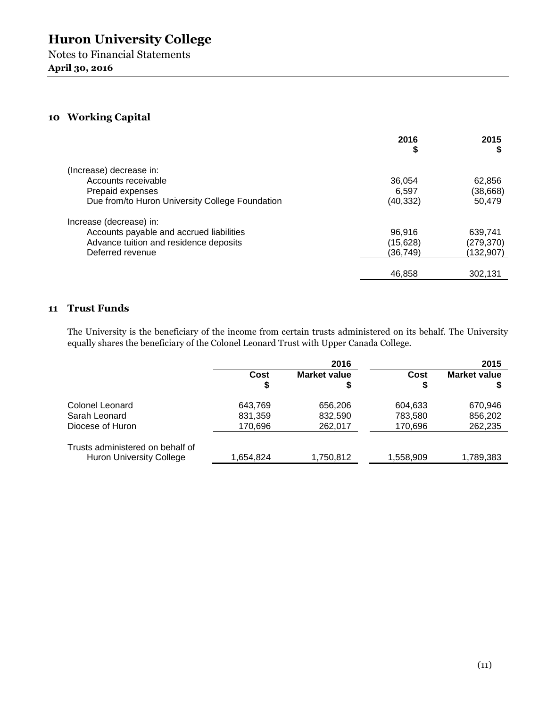## **10 Working Capital**

|                                                 | 2016<br>\$ | 2015       |
|-------------------------------------------------|------------|------------|
| (Increase) decrease in:                         |            |            |
| Accounts receivable                             | 36.054     | 62,856     |
| Prepaid expenses                                | 6.597      | (38, 668)  |
| Due from/to Huron University College Foundation | (40,332)   | 50.479     |
| Increase (decrease) in:                         |            |            |
| Accounts payable and accrued liabilities        | 96.916     | 639.741    |
| Advance tuition and residence deposits          | (15, 628)  | (279, 370) |
| Deferred revenue                                | (36,749)   | (132,907)  |
|                                                 | 46,858     | 302,131    |

## **11 Trust Funds**

The University is the beneficiary of the income from certain trusts administered on its behalf. The University equally shares the beneficiary of the Colonel Leonard Trust with Upper Canada College.

|                                  | 2016      |                           |            | 2015                |
|----------------------------------|-----------|---------------------------|------------|---------------------|
|                                  | Cost<br>S | <b>Market value</b><br>\$ | Cost<br>\$ | <b>Market value</b> |
| Colonel Leonard                  | 643.769   | 656,206                   | 604,633    | 670,946             |
| Sarah Leonard                    | 831,359   | 832,590                   | 783,580    | 856,202             |
| Diocese of Huron                 | 170,696   | 262,017                   | 170,696    | 262,235             |
| Trusts administered on behalf of |           |                           |            |                     |
| <b>Huron University College</b>  | 1,654,824 | 1,750,812                 | 1,558,909  | 1,789,383           |